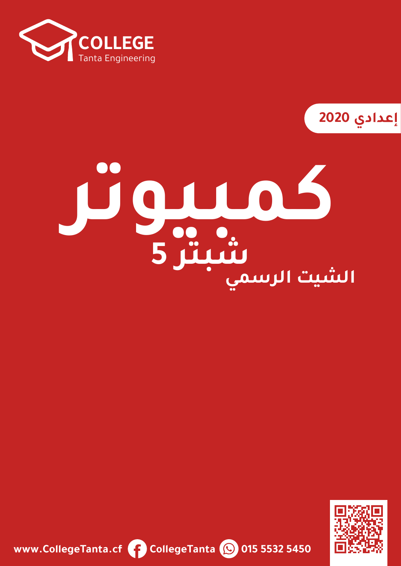

**2020**

# **كمبيوتر الشيت الرسميشبتر 5**



**www.CollegeTanta.cf CollegeTanta © 015 5532 5450**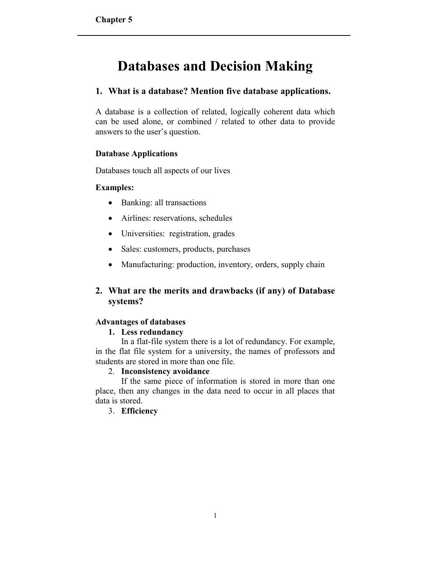# **Databases and Decision Making**

# **1. What is a database? Mention five database applications.**

A database is a collection of related, logically coherent data which can be used alone, or combined / related to other data to provide answers to the user's question.

# **Database Applications**

Databases touch all aspects of our lives

# **Examples:**

- Banking: all transactions
- Airlines: reservations, schedules
- Universities: registration, grades
- Sales: customers, products, purchases
- Manufacturing: production, inventory, orders, supply chain

# **2. What are the merits and drawbacks (if any) of Database systems?**

# **Advantages of databases**

# **1. Less redundancy**

In a flat-file system there is a lot of redundancy. For example, in the flat file system for a university, the names of professors and students are stored in more than one file.

#### 2. **Inconsistency avoidance**

If the same piece of information is stored in more than one place, then any changes in the data need to occur in all places that data is stored.

# 3. **Efficiency**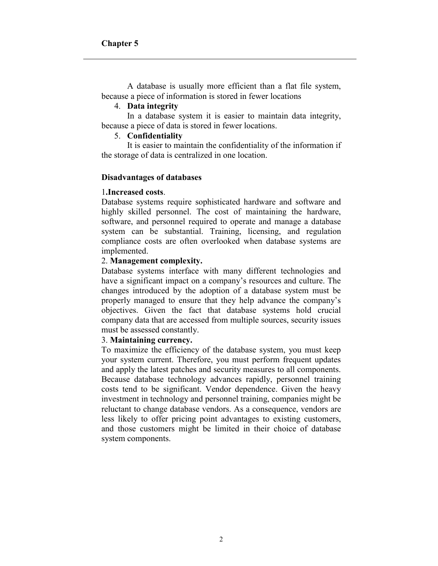A database is usually more efficient than a flat file system, because a piece of information is stored in fewer locations

#### 4. **Data integrity**

In a database system it is easier to maintain data integrity, because a piece of data is stored in fewer locations.

#### 5. **Confidentiality**

It is easier to maintain the confidentiality of the information if the storage of data is centralized in one location.

#### **Disadvantages of databases**

#### 1**.Increased costs**.

Database systems require sophisticated hardware and software and highly skilled personnel. The cost of maintaining the hardware, software, and personnel required to operate and manage a database system can be substantial. Training, licensing, and regulation compliance costs are often overlooked when database systems are implemented.

#### 2. **Management complexity.**

Database systems interface with many different technologies and have a significant impact on a company's resources and culture. The changes introduced by the adoption of a database system must be properly managed to ensure that they help advance the company's objectives. Given the fact that database systems hold crucial company data that are accessed from multiple sources, security issues must be assessed constantly.

#### 3. **Maintaining currency.**

To maximize the efficiency of the database system, you must keep your system current. Therefore, you must perform frequent updates and apply the latest patches and security measures to all components. Because database technology advances rapidly, personnel training costs tend to be significant. Vendor dependence. Given the heavy investment in technology and personnel training, companies might be reluctant to change database vendors. As a consequence, vendors are less likely to offer pricing point advantages to existing customers, and those customers might be limited in their choice of database system components.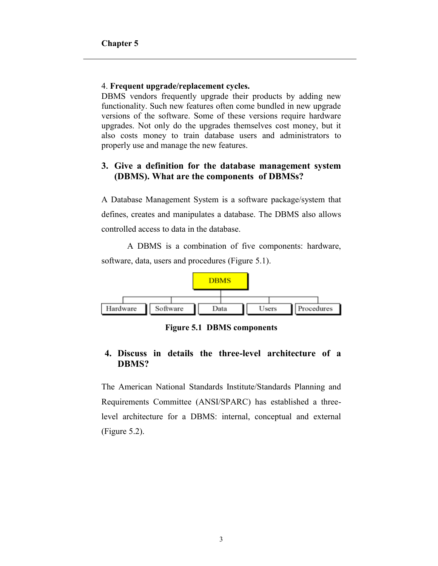#### 4. **Frequent upgrade/replacement cycles.**

DBMS vendors frequently upgrade their products by adding new functionality. Such new features often come bundled in new upgrade versions of the software. Some of these versions require hardware upgrades. Not only do the upgrades themselves cost money, but it also costs money to train database users and administrators to properly use and manage the new features.

# **3. Give a definition for the database management system (DBMS). What are the components of DBMSs?**

A Database Management System is a software package/system that defines, creates and manipulates a database. The DBMS also allows controlled access to data in the database.

A DBMS is a combination of five components: hardware, software, data, users and procedures (Figure 5.1).



**Figure 5.1 DBMS components**

# **4. Discuss in details the three-level architecture of a DBMS?**

The American National Standards Institute/Standards Planning and Requirements Committee (ANSI/SPARC) has established a threelevel architecture for a DBMS: internal, conceptual and external (Figure 5.2).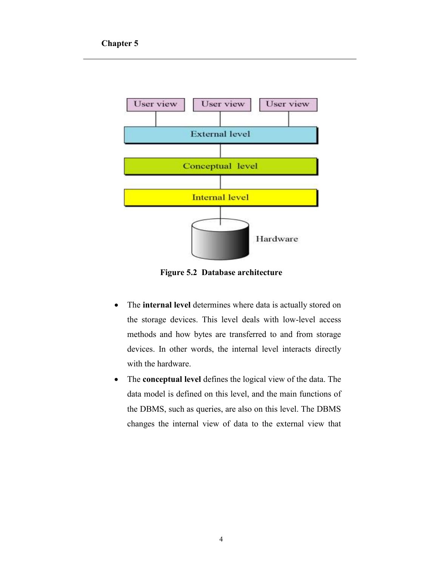

**Figure 5.2 Database architecture**

- The **internal level** determines where data is actually stored on the storage devices. This level deals with low-level access methods and how bytes are transferred to and from storage devices. In other words, the internal level interacts directly with the hardware.
- The **conceptual level** defines the logical view of the data. The data model is defined on this level, and the main functions of the DBMS, such as queries, are also on this level. The DBMS changes the internal view of data to the external view that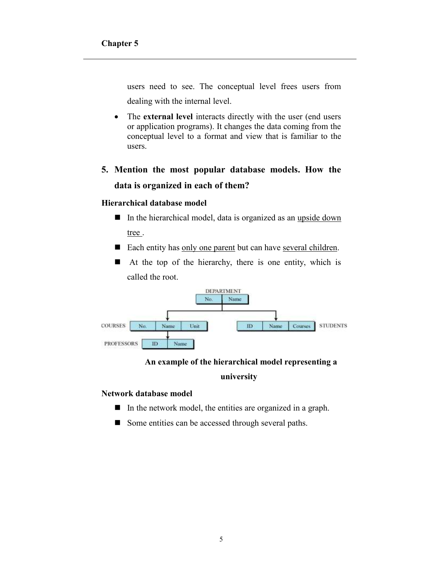users need to see. The conceptual level frees users from dealing with the internal level.

- The **external level** interacts directly with the user (end users or application programs). It changes the data coming from the conceptual level to a format and view that is familiar to the users.
- **5. Mention the most popular database models. How the data is organized in each of them?**

#### **Hierarchical database model**

- In the hierarchical model, data is organized as an upside down tree .
- Each entity has <u>only one parent</u> but can have <u>several children</u>.
- $\blacksquare$  At the top of the hierarchy, there is one entity, which is called the root.



#### **An example of the hierarchical model representing a**

#### **university**

#### **Network database model**

- $\blacksquare$  In the network model, the entities are organized in a graph.
- Some entities can be accessed through several paths.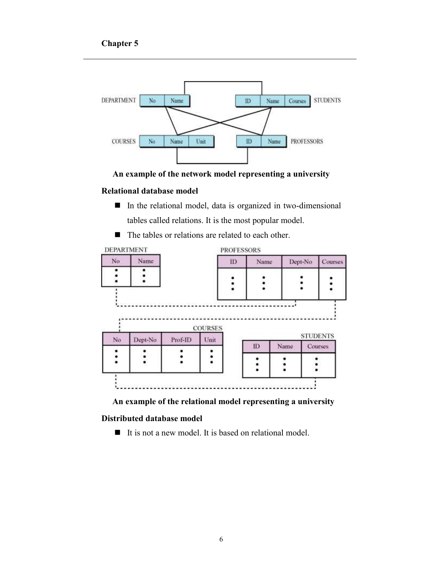

**An example of the network model representing a university**

#### **Relational database model**

- In the relational model, data is organized in two-dimensional tables called relations. It is the most popular model.
- The tables or relations are related to each other.



 **An example of the relational model representing a university**

#### **Distributed database model**

 $\blacksquare$  It is not a new model. It is based on relational model.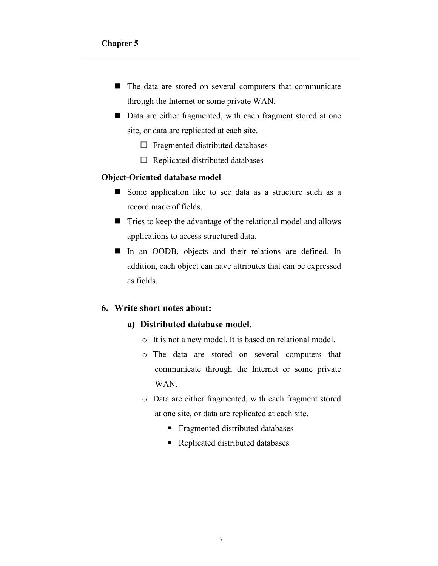- The data are stored on several computers that communicate through the Internet or some private WAN.
- Data are either fragmented, with each fragment stored at one site, or data are replicated at each site.
	- $\square$  Fragmented distributed databases
	- $\Box$  Replicated distributed databases

#### **Object-Oriented database model**

- Some application like to see data as a structure such as a record made of fields.
- Tries to keep the advantage of the relational model and allows applications to access structured data.
- In an OODB, objects and their relations are defined. In addition, each object can have attributes that can be expressed as fields.

### **6. Write short notes about:**

- **a) Distributed database model.**
	- o It is not a new model. It is based on relational model.
	- o The data are stored on several computers that communicate through the Internet or some private WAN.
	- o Data are either fragmented, with each fragment stored at one site, or data are replicated at each site.
		- **Fragmented distributed databases**
		- Replicated distributed databases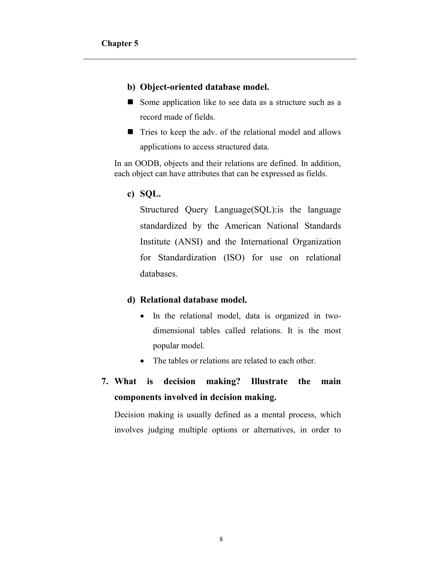#### **b) Object-oriented database model.**

- Some application like to see data as a structure such as a record made of fields.
- Tries to keep the adv. of the relational model and allows applications to access structured data.

In an OODB, objects and their relations are defined. In addition, each object can have attributes that can be expressed as fields.

**c) SQL.**

Structured Query Language(SQL):is the language standardized by the American National Standards Institute (ANSI) and the International Organization for Standardization (ISO) for use on relational databases.

#### **d) Relational database model.**

- In the relational model, data is organized in twodimensional tables called relations. It is the most popular model.
- The tables or relations are related to each other.
- **7. What is decision making? Illustrate the main components involved in decision making.**

Decision making is usually defined as a mental process, which involves judging multiple options or alternatives, in order to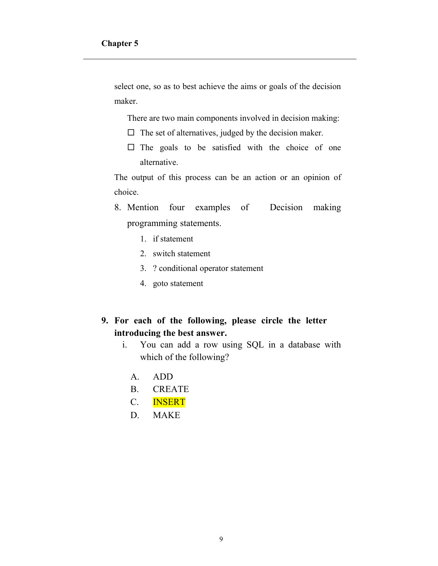select one, so as to best achieve the aims or goals of the decision maker.

There are two main components involved in decision making:

- $\Box$  The set of alternatives, judged by the decision maker.
- $\square$  The goals to be satisfied with the choice of one alternative.

The output of this process can be an action or an opinion of choice.

- 8. Mention four examples of Decision making programming statements.
	- 1. if statement
	- 2. switch statement
	- 3. ? conditional operator statement
	- 4. goto statement

# **9. For each of the following, please circle the letter introducing the best answer.**

- i. You can add a row using SQL in a database with which of the following?
	- A. ADD
	- B. CREATE
	- C. INSERT
	- D. MAKE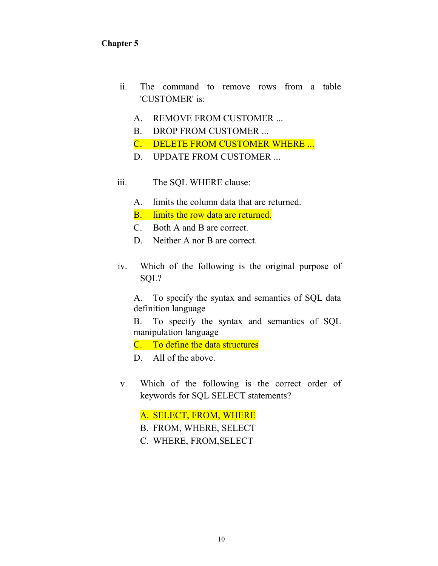- ii. The command to remove rows from a table 'CUSTOMER' is:
	- A. REMOVE FROM CUSTOMER ...
	- B. DROP FROM CUSTOMER ...
	- C. DELETE FROM CUSTOMER WHERE ...
	- D. UPDATE FROM CUSTOMER ...
- iii. The SQL WHERE clause:
	- A. limits the column data that are returned.
	- B. limits the row data are returned.
	- C. Both A and B are correct.
	- D. Neither A nor B are correct.
- iv. Which of the following is the original purpose of SQL?

A. To specify the syntax and semantics of SQL data definition language

B. To specify the syntax and semantics of SQL manipulation language

C. To define the data structures

D. All of the above.

v. Which of the following is the correct order of keywords for SQL SELECT statements?

A. SELECT, FROM, WHERE

- B. FROM, WHERE, SELECT
- C. WHERE, FROM,SELECT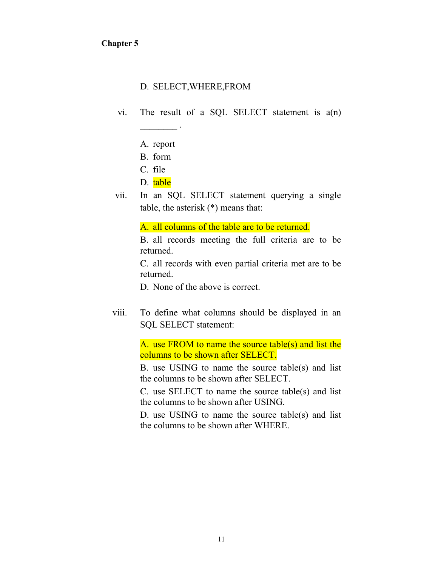### D. SELECT,WHERE,FROM

- vi. The result of a SQL SELECT statement is a(n)
	- A. report

 $\overline{\phantom{a}}$  .

- B. form
- C. file
- D. table
- vii. In an SQL SELECT statement querying a single table, the asterisk (\*) means that:

A. all columns of the table are to be returned.

B. all records meeting the full criteria are to be returned.

C. all records with even partial criteria met are to be returned.

D. None of the above is correct.

viii. To define what columns should be displayed in an SQL SELECT statement:

> A. use FROM to name the source table(s) and list the columns to be shown after SELECT.

> B. use USING to name the source table(s) and list the columns to be shown after SELECT.

> C. use SELECT to name the source table(s) and list the columns to be shown after USING.

> D. use USING to name the source table(s) and list the columns to be shown after WHERE.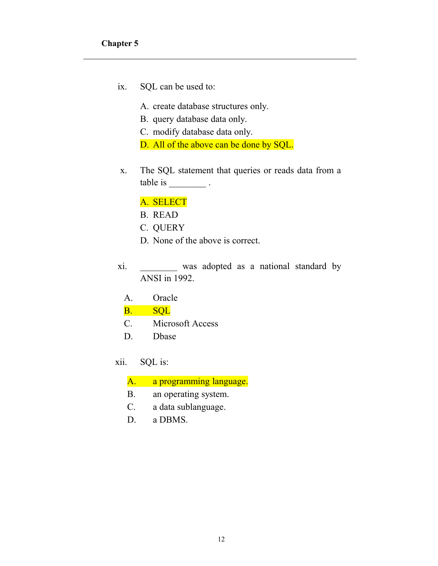- ix. SQL can be used to:
	- A. create database structures only.
	- B. query database data only.
	- C. modify database data only.
	- D. All of the above can be done by SQL.
- x. The SQL statement that queries or reads data from a table is  $\frac{1}{\sqrt{1-\frac{1}{\sqrt{1-\frac{1}{\sqrt{1-\frac{1}{\sqrt{1-\frac{1}{\sqrt{1-\frac{1}{\sqrt{1-\frac{1}{\sqrt{1-\frac{1}{\sqrt{1-\frac{1}{\sqrt{1-\frac{1}{\sqrt{1-\frac{1}{\sqrt{1-\frac{1}{\sqrt{1-\frac{1}{\sqrt{1-\frac{1}{\sqrt{1-\frac{1}{\sqrt{1-\frac{1}{\sqrt{1-\frac{1}{\sqrt{1-\frac{1}{\sqrt{1-\frac{1}{\sqrt{1-\frac{1}{\sqrt{1-\frac{1}{\sqrt{1-\frac{1}{\sqrt{1-\frac{1}{\sqrt{1-\frac{1$

# A. SELECT

- B. READ
- C. QUERY
- D. None of the above is correct.
- xi. \_\_\_\_\_\_\_\_ was adopted as a national standard by ANSI in 1992.
	- A. Oracle

#### B. SQL

- C. Microsoft Access
- D. Dbase
- xii. SQL is:

A. a programming language.

- B. an operating system.
- C. a data sublanguage.
- D. a DBMS.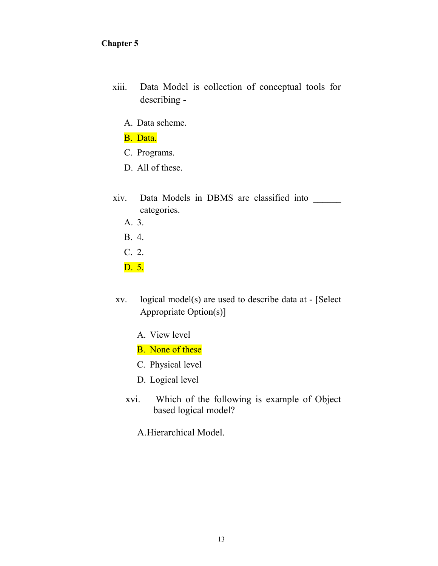- xiii. Data Model is collection of conceptual tools for describing -
	- A. Data scheme.
	- B. Data.
	- C. Programs.
	- D. All of these.
- xiv. Data Models in DBMS are classified into \_\_\_\_\_\_ categories.
	- A. 3.
	- B. 4.
	- C. 2.
	- D. 5.
- xv. logical model(s) are used to describe data at [Select Appropriate Option(s)]
	- A. View level
	- B. None of these
	- C. Physical level
	- D. Logical level
	- xvi. Which of the following is example of Object based logical model?
		- A.Hierarchical Model.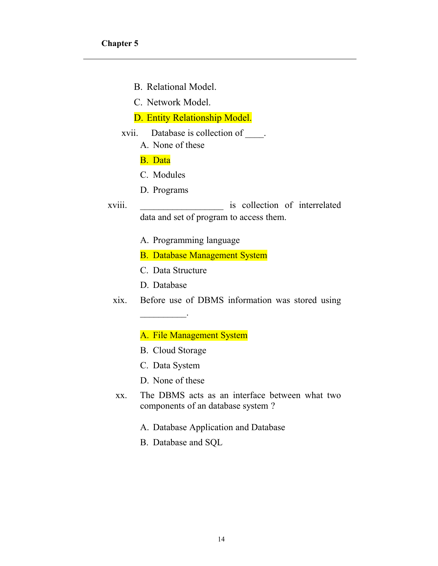- B. Relational Model.
- C. Network Model.

# D. Entity Relationship Model.

- xvii. Database is collection of \_\_\_\_.
	- A. None of these

#### B. Data

- C. Modules
- D. Programs
- xviii. \_\_\_\_\_\_\_\_\_\_\_\_\_\_\_\_\_\_ is collection of interrelated data and set of program to access them.
	- A. Programming language
	- B. Database Management System
	- C. Data Structure
	- D. Database

 $\overline{\phantom{a}}$  . The set of the set of the set of the set of the set of the set of the set of the set of the set of the set of the set of the set of the set of the set of the set of the set of the set of the set of the set o

xix. Before use of DBMS information was stored using

# A. File Management System

- B. Cloud Storage
- C. Data System
- D. None of these
- xx. The DBMS acts as an interface between what two components of an database system ?
	- A. Database Application and Database
	- B. Database and SQL